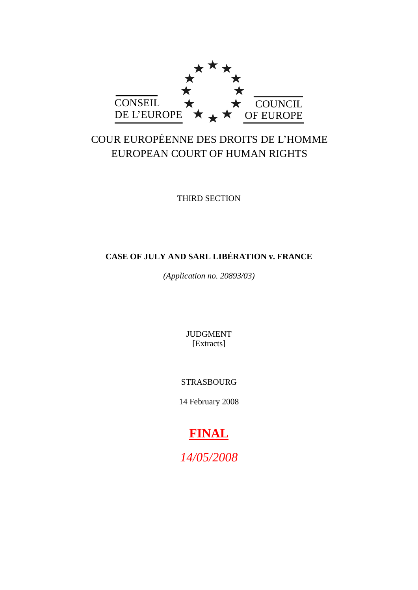

# COUR EUROPÉENNE DES DROITS DE L'HOMME EUROPEAN COURT OF HUMAN RIGHTS

THIRD SECTION

## **CASE OF JULY AND SARL LIBÉRATION v. FRANCE**

*(Application no. 20893/03)*

JUDGMENT [Extracts]

STRASBOURG

14 February 2008

# **FINAL**

*14/05/2008*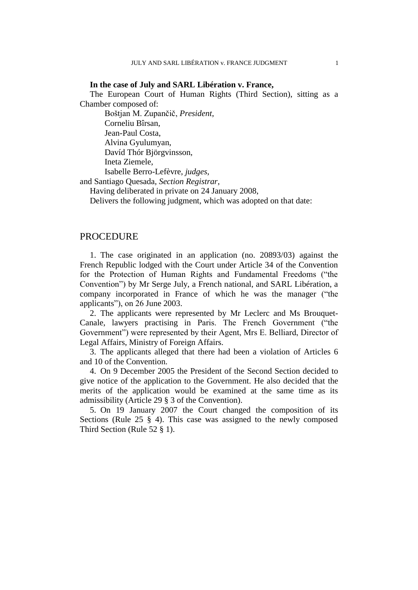### **In the case of July and SARL Libération v. France,**

The European Court of Human Rights (Third Section), sitting as a Chamber composed of:

Boštjan M. Zupančič, *President*,

Corneliu Bîrsan,

Jean-Paul Costa,

Alvina Gyulumyan,

Davíd Thór Björgvinsson,

Ineta Ziemele,

Isabelle Berro-Lefèvre, *judges*,

and Santiago Quesada, *Section Registrar*,

Having deliberated in private on 24 January 2008,

Delivers the following judgment, which was adopted on that date:

### PROCEDURE

1. The case originated in an application (no. 20893/03) against the French Republic lodged with the Court under Article 34 of the Convention for the Protection of Human Rights and Fundamental Freedoms ("the Convention") by Mr Serge July, a French national, and SARL Libération, a company incorporated in France of which he was the manager ("the applicants"), on 26 June 2003.

2. The applicants were represented by Mr Leclerc and Ms Brouquet-Canale, lawyers practising in Paris. The French Government ("the Government") were represented by their Agent, Mrs E. Belliard, Director of Legal Affairs, Ministry of Foreign Affairs.

3. The applicants alleged that there had been a violation of Articles 6 and 10 of the Convention.

4. On 9 December 2005 the President of the Second Section decided to give notice of the application to the Government. He also decided that the merits of the application would be examined at the same time as its admissibility (Article 29 § 3 of the Convention).

5. On 19 January 2007 the Court changed the composition of its Sections (Rule 25 § 4). This case was assigned to the newly composed Third Section (Rule 52 § 1).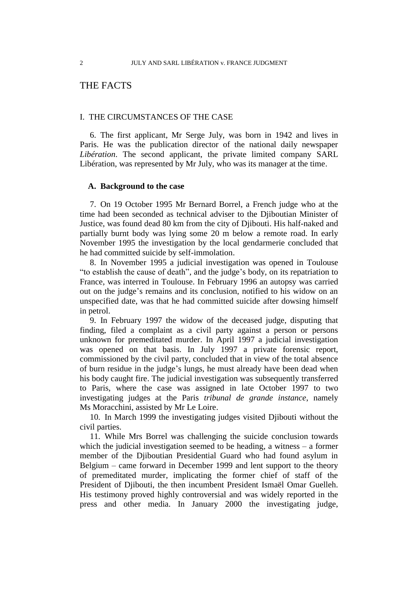### THE FACTS

### I. THE CIRCUMSTANCES OF THE CASE

6. The first applicant, Mr Serge July, was born in 1942 and lives in Paris. He was the publication director of the national daily newspaper *Libération*. The second applicant, the private limited company SARL Libération, was represented by Mr July, who was its manager at the time.

### **A. Background to the case**

7. On 19 October 1995 Mr Bernard Borrel, a French judge who at the time had been seconded as technical adviser to the Djiboutian Minister of Justice, was found dead 80 km from the city of Djibouti. His half-naked and partially burnt body was lying some 20 m below a remote road. In early November 1995 the investigation by the local gendarmerie concluded that he had committed suicide by self-immolation.

8. In November 1995 a judicial investigation was opened in Toulouse "to establish the cause of death", and the judge's body, on its repatriation to France, was interred in Toulouse. In February 1996 an autopsy was carried out on the judge's remains and its conclusion, notified to his widow on an unspecified date, was that he had committed suicide after dowsing himself in petrol.

9. In February 1997 the widow of the deceased judge, disputing that finding, filed a complaint as a civil party against a person or persons unknown for premeditated murder. In April 1997 a judicial investigation was opened on that basis. In July 1997 a private forensic report, commissioned by the civil party, concluded that in view of the total absence of burn residue in the judge's lungs, he must already have been dead when his body caught fire. The judicial investigation was subsequently transferred to Paris, where the case was assigned in late October 1997 to two investigating judges at the Paris *tribunal de grande instance*, namely Ms Moracchini, assisted by Mr Le Loire.

10. In March 1999 the investigating judges visited Djibouti without the civil parties.

11. While Mrs Borrel was challenging the suicide conclusion towards which the judicial investigation seemed to be heading, a witness – a former member of the Djiboutian Presidential Guard who had found asylum in Belgium – came forward in December 1999 and lent support to the theory of premeditated murder, implicating the former chief of staff of the President of Djibouti, the then incumbent President Ismaël Omar Guelleh. His testimony proved highly controversial and was widely reported in the press and other media. In January 2000 the investigating judge,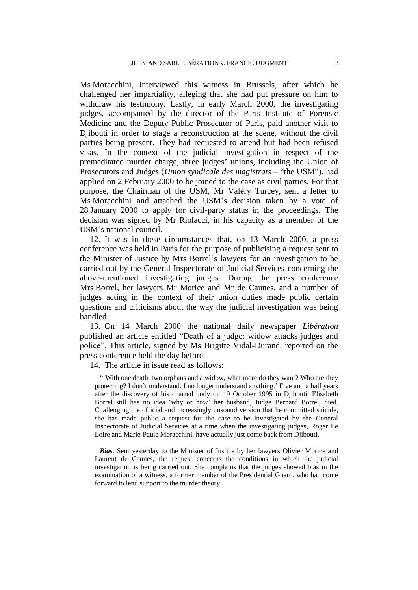Ms Moracchini, interviewed this witness in Brussels, after which he challenged her impartiality, alleging that she had put pressure on him to withdraw his testimony. Lastly, in early March 2000, the investigating judges, accompanied by the director of the Paris Institute of Forensic Medicine and the Deputy Public Prosecutor of Paris, paid another visit to Djibouti in order to stage a reconstruction at the scene, without the civil parties being present. They had requested to attend but had been refused visas. In the context of the judicial investigation in respect of the premeditated murder charge, three judges' unions, including the Union of Prosecutors and Judges (*Union syndicale des magistrats* – "the USM"), had applied on 2 February 2000 to be joined to the case as civil parties. For that purpose, the Chairman of the USM, Mr Valéry Turcey, sent a letter to Ms Moracchini and attached the USM's decision taken by a vote of 28 January 2000 to apply for civil-party status in the proceedings. The decision was signed by Mr Riolacci, in his capacity as a member of the USM's national council.

12. It was in these circumstances that, on 13 March 2000, a press conference was held in Paris for the purpose of publicising a request sent to the Minister of Justice by Mrs Borrel's lawyers for an investigation to be carried out by the General Inspectorate of Judicial Services concerning the above-mentioned investigating judges. During the press conference Mrs Borrel, her lawyers Mr Morice and Mr de Caunes, and a number of judges acting in the context of their union duties made public certain questions and criticisms about the way the judicial investigation was being handled.

13. On 14 March 2000 the national daily newspaper *Libération* published an article entitled "Death of a judge: widow attacks judges and police". This article, signed by Ms Brigitte Vidal-Durand, reported on the press conference held the day before.

14. The article in issue read as follows:

"With one death, two orphans and a widow, what more do they want? Who are they protecting? I don't understand. I no longer understand anything.' Five and a half years after the discovery of his charred body on 19 October 1995 in Djibouti, Elisabeth Borrel still has no idea 'why or how' her husband, Judge Bernard Borrel, died. Challenging the official and increasingly unsound version that he committed suicide, she has made public a request for the case to be investigated by the General Inspectorate of Judicial Services at a time when the investigating judges, Roger Le Loire and Marie-Paule Moracchini, have actually just come back from Diibouti.

*Bias*. Sent yesterday to the Minister of Justice by her lawyers Olivier Morice and Laurent de Caunes, the request concerns the conditions in which the judicial investigation is being carried out. She complains that the judges showed bias in the examination of a witness, a former member of the Presidential Guard, who had come forward to lend support to the murder theory.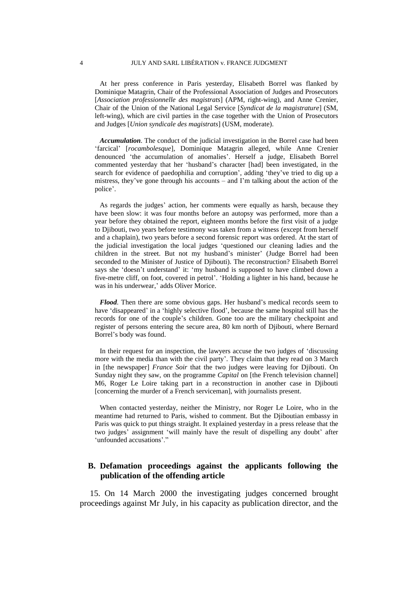At her press conference in Paris yesterday, Elisabeth Borrel was flanked by Dominique Matagrin, Chair of the Professional Association of Judges and Prosecutors [*Association professionnelle des magistrats*] (APM, right-wing), and Anne Crenier, Chair of the Union of the National Legal Service [*Syndicat de la magistrature*] (SM, left-wing), which are civil parties in the case together with the Union of Prosecutors and Judges [*Union syndicale des magistrats*] (USM, moderate).

*Accumulation*. The conduct of the judicial investigation in the Borrel case had been 'farcical' [*rocambolesque*], Dominique Matagrin alleged, while Anne Crenier denounced 'the accumulation of anomalies'. Herself a judge, Elisabeth Borrel commented yesterday that her 'husband's character [had] been investigated, in the search for evidence of paedophilia and corruption', adding 'they've tried to dig up a mistress, they've gone through his accounts – and I'm talking about the action of the police'.

As regards the judges' action, her comments were equally as harsh, because they have been slow: it was four months before an autopsy was performed, more than a year before they obtained the report, eighteen months before the first visit of a judge to Djibouti, two years before testimony was taken from a witness (except from herself and a chaplain), two years before a second forensic report was ordered. At the start of the judicial investigation the local judges 'questioned our cleaning ladies and the children in the street. But not my husband's minister' (Judge Borrel had been seconded to the Minister of Justice of Djibouti). The reconstruction? Elisabeth Borrel says she 'doesn't understand' it: 'my husband is supposed to have climbed down a five-metre cliff, on foot, covered in petrol'. 'Holding a lighter in his hand, because he was in his underwear,' adds Oliver Morice.

*Flood*. Then there are some obvious gaps. Her husband's medical records seem to have 'disappeared' in a 'highly selective flood', because the same hospital still has the records for one of the couple's children. Gone too are the military checkpoint and register of persons entering the secure area, 80 km north of Djibouti, where Bernard Borrel's body was found.

In their request for an inspection, the lawyers accuse the two judges of 'discussing more with the media than with the civil party'. They claim that they read on 3 March in [the newspaper] *France Soir* that the two judges were leaving for Djibouti. On Sunday night they saw, on the programme *Capital* on [the French television channel] M6, Roger Le Loire taking part in a reconstruction in another case in Djibouti [concerning the murder of a French serviceman], with journalists present.

When contacted yesterday, neither the Ministry, nor Roger Le Loire, who in the meantime had returned to Paris, wished to comment. But the Djiboutian embassy in Paris was quick to put things straight. It explained yesterday in a press release that the two judges' assignment 'will mainly have the result of dispelling any doubt' after 'unfounded accusations'.'

### **B. Defamation proceedings against the applicants following the publication of the offending article**

15. On 14 March 2000 the investigating judges concerned brought proceedings against Mr July, in his capacity as publication director, and the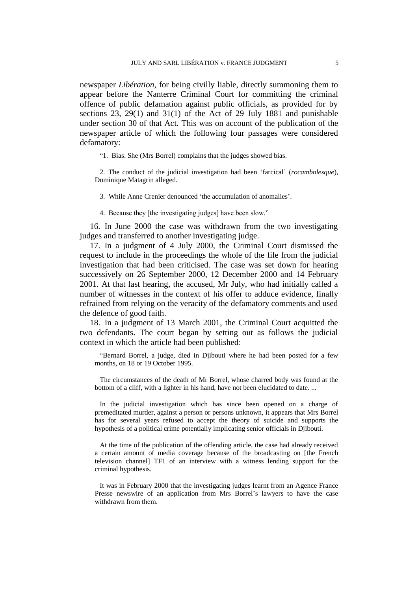newspaper *Libération*, for being civilly liable, directly summoning them to appear before the Nanterre Criminal Court for committing the criminal offence of public defamation against public officials, as provided for by sections 23, 29(1) and 31(1) of the Act of 29 July 1881 and punishable under section 30 of that Act. This was on account of the publication of the newspaper article of which the following four passages were considered defamatory:

"1. Bias. She (Mrs Borrel) complains that the judges showed bias.

2. The conduct of the judicial investigation had been 'farcical' (*rocambolesque*), Dominique Matagrin alleged.

3. While Anne Crenier denounced 'the accumulation of anomalies'.

4. Because they [the investigating judges] have been slow."

16. In June 2000 the case was withdrawn from the two investigating judges and transferred to another investigating judge.

17. In a judgment of 4 July 2000, the Criminal Court dismissed the request to include in the proceedings the whole of the file from the judicial investigation that had been criticised. The case was set down for hearing successively on 26 September 2000, 12 December 2000 and 14 February 2001. At that last hearing, the accused, Mr July, who had initially called a number of witnesses in the context of his offer to adduce evidence, finally refrained from relying on the veracity of the defamatory comments and used the defence of good faith.

18. In a judgment of 13 March 2001, the Criminal Court acquitted the two defendants. The court began by setting out as follows the judicial context in which the article had been published:

"Bernard Borrel, a judge, died in Djibouti where he had been posted for a few months, on 18 or 19 October 1995.

The circumstances of the death of Mr Borrel, whose charred body was found at the bottom of a cliff, with a lighter in his hand, have not been elucidated to date. ...

In the judicial investigation which has since been opened on a charge of premeditated murder, against a person or persons unknown, it appears that Mrs Borrel has for several years refused to accept the theory of suicide and supports the hypothesis of a political crime potentially implicating senior officials in Djibouti.

At the time of the publication of the offending article, the case had already received a certain amount of media coverage because of the broadcasting on [the French television channel] TF1 of an interview with a witness lending support for the criminal hypothesis.

It was in February 2000 that the investigating judges learnt from an Agence France Presse newswire of an application from Mrs Borrel's lawyers to have the case withdrawn from them.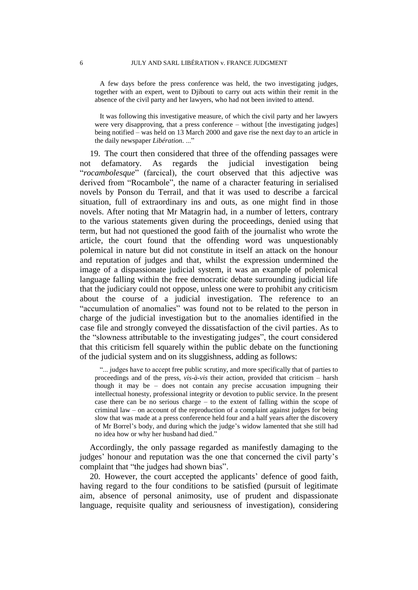A few days before the press conference was held, the two investigating judges, together with an expert, went to Djibouti to carry out acts within their remit in the absence of the civil party and her lawyers, who had not been invited to attend.

It was following this investigative measure, of which the civil party and her lawyers were very disapproving, that a press conference – without [the investigating judges] being notified – was held on 13 March 2000 and gave rise the next day to an article in the daily newspaper *Libération*. ..."

19. The court then considered that three of the offending passages were not defamatory. As regards the judicial investigation being "*rocambolesque*" (farcical), the court observed that this adjective was derived from "Rocambole", the name of a character featuring in serialised novels by Ponson du Terrail, and that it was used to describe a farcical situation, full of extraordinary ins and outs, as one might find in those novels. After noting that Mr Matagrin had, in a number of letters, contrary to the various statements given during the proceedings, denied using that term, but had not questioned the good faith of the journalist who wrote the article, the court found that the offending word was unquestionably polemical in nature but did not constitute in itself an attack on the honour and reputation of judges and that, whilst the expression undermined the image of a dispassionate judicial system, it was an example of polemical language falling within the free democratic debate surrounding judicial life that the judiciary could not oppose, unless one were to prohibit any criticism about the course of a judicial investigation. The reference to an "accumulation of anomalies" was found not to be related to the person in charge of the judicial investigation but to the anomalies identified in the case file and strongly conveyed the dissatisfaction of the civil parties. As to the "slowness attributable to the investigating judges", the court considered that this criticism fell squarely within the public debate on the functioning of the judicial system and on its sluggishness, adding as follows:

"... judges have to accept free public scrutiny, and more specifically that of parties to proceedings and of the press, *vis-à-vis* their action, provided that criticism – harsh though it may be – does not contain any precise accusation impugning their intellectual honesty, professional integrity or devotion to public service. In the present case there can be no serious charge – to the extent of falling within the scope of criminal law – on account of the reproduction of a complaint against judges for being slow that was made at a press conference held four and a half years after the discovery of Mr Borrel's body, and during which the judge's widow lamented that she still had no idea how or why her husband had died."

Accordingly, the only passage regarded as manifestly damaging to the judges' honour and reputation was the one that concerned the civil party's complaint that "the judges had shown bias".

20. However, the court accepted the applicants' defence of good faith, having regard to the four conditions to be satisfied (pursuit of legitimate aim, absence of personal animosity, use of prudent and dispassionate language, requisite quality and seriousness of investigation), considering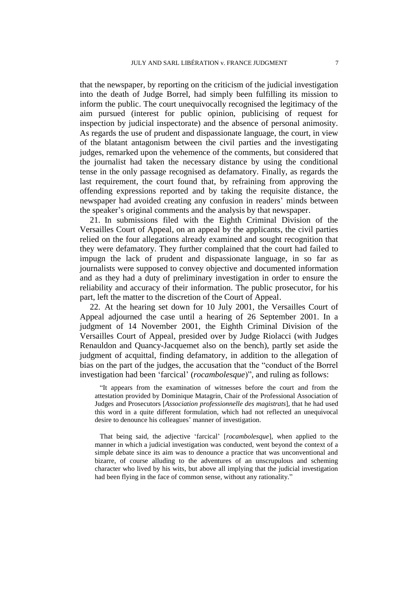that the newspaper, by reporting on the criticism of the judicial investigation into the death of Judge Borrel, had simply been fulfilling its mission to inform the public. The court unequivocally recognised the legitimacy of the aim pursued (interest for public opinion, publicising of request for inspection by judicial inspectorate) and the absence of personal animosity. As regards the use of prudent and dispassionate language, the court, in view of the blatant antagonism between the civil parties and the investigating judges, remarked upon the vehemence of the comments, but considered that the journalist had taken the necessary distance by using the conditional tense in the only passage recognised as defamatory. Finally, as regards the last requirement, the court found that, by refraining from approving the offending expressions reported and by taking the requisite distance, the newspaper had avoided creating any confusion in readers' minds between the speaker's original comments and the analysis by that newspaper.

21. In submissions filed with the Eighth Criminal Division of the Versailles Court of Appeal, on an appeal by the applicants, the civil parties relied on the four allegations already examined and sought recognition that they were defamatory. They further complained that the court had failed to impugn the lack of prudent and dispassionate language, in so far as journalists were supposed to convey objective and documented information and as they had a duty of preliminary investigation in order to ensure the reliability and accuracy of their information. The public prosecutor, for his part, left the matter to the discretion of the Court of Appeal.

22. At the hearing set down for 10 July 2001, the Versailles Court of Appeal adjourned the case until a hearing of 26 September 2001. In a judgment of 14 November 2001, the Eighth Criminal Division of the Versailles Court of Appeal, presided over by Judge Riolacci (with Judges Renauldon and Quancy-Jacquemet also on the bench), partly set aside the judgment of acquittal, finding defamatory, in addition to the allegation of bias on the part of the judges, the accusation that the "conduct of the Borrel investigation had been 'farcical' (*rocambolesque*)", and ruling as follows:

"It appears from the examination of witnesses before the court and from the attestation provided by Dominique Matagrin, Chair of the Professional Association of Judges and Prosecutors [*Association professionnelle des magistrats*], that he had used this word in a quite different formulation, which had not reflected an unequivocal desire to denounce his colleagues' manner of investigation.

That being said, the adjective 'farcical' [*rocambolesque*], when applied to the manner in which a judicial investigation was conducted, went beyond the context of a simple debate since its aim was to denounce a practice that was unconventional and bizarre, of course alluding to the adventures of an unscrupulous and scheming character who lived by his wits, but above all implying that the judicial investigation had been flying in the face of common sense, without any rationality."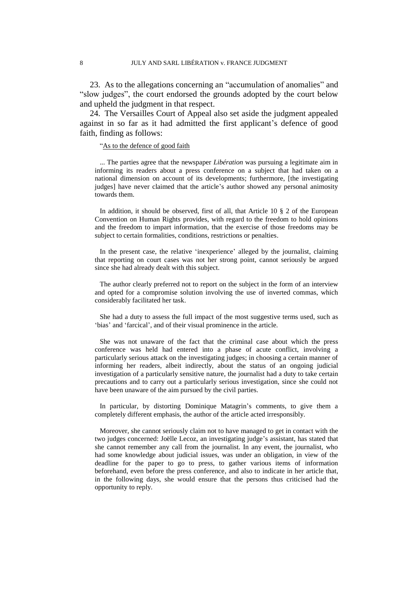23. As to the allegations concerning an "accumulation of anomalies" and "slow judges", the court endorsed the grounds adopted by the court below and upheld the judgment in that respect.

24. The Versailles Court of Appeal also set aside the judgment appealed against in so far as it had admitted the first applicant's defence of good faith, finding as follows:

### "As to the defence of good faith

... The parties agree that the newspaper *Libération* was pursuing a legitimate aim in informing its readers about a press conference on a subject that had taken on a national dimension on account of its developments; furthermore, [the investigating judges] have never claimed that the article's author showed any personal animosity towards them.

In addition, it should be observed, first of all, that Article 10  $\S$  2 of the European Convention on Human Rights provides, with regard to the freedom to hold opinions and the freedom to impart information, that the exercise of those freedoms may be subject to certain formalities, conditions, restrictions or penalties.

In the present case, the relative 'inexperience' alleged by the journalist, claiming that reporting on court cases was not her strong point, cannot seriously be argued since she had already dealt with this subject.

The author clearly preferred not to report on the subject in the form of an interview and opted for a compromise solution involving the use of inverted commas, which considerably facilitated her task.

She had a duty to assess the full impact of the most suggestive terms used, such as 'bias' and 'farcical', and of their visual prominence in the article.

She was not unaware of the fact that the criminal case about which the press conference was held had entered into a phase of acute conflict, involving a particularly serious attack on the investigating judges; in choosing a certain manner of informing her readers, albeit indirectly, about the status of an ongoing judicial investigation of a particularly sensitive nature, the journalist had a duty to take certain precautions and to carry out a particularly serious investigation, since she could not have been unaware of the aim pursued by the civil parties.

In particular, by distorting Dominique Matagrin's comments, to give them a completely different emphasis, the author of the article acted irresponsibly.

Moreover, she cannot seriously claim not to have managed to get in contact with the two judges concerned: Joëlle Lecoz, an investigating judge's assistant, has stated that she cannot remember any call from the journalist. In any event, the journalist, who had some knowledge about judicial issues, was under an obligation, in view of the deadline for the paper to go to press, to gather various items of information beforehand, even before the press conference, and also to indicate in her article that, in the following days, she would ensure that the persons thus criticised had the opportunity to reply.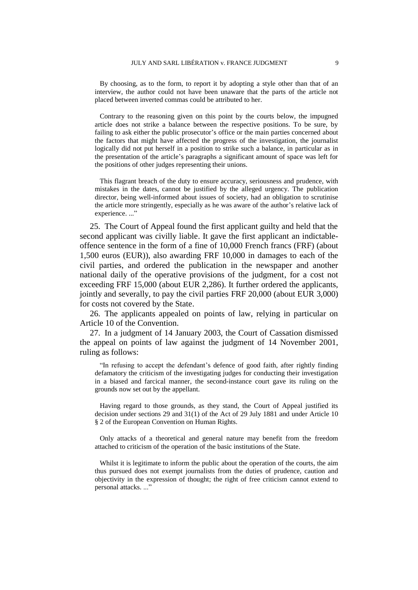By choosing, as to the form, to report it by adopting a style other than that of an interview, the author could not have been unaware that the parts of the article not placed between inverted commas could be attributed to her.

Contrary to the reasoning given on this point by the courts below, the impugned article does not strike a balance between the respective positions. To be sure, by failing to ask either the public prosecutor's office or the main parties concerned about the factors that might have affected the progress of the investigation, the journalist logically did not put herself in a position to strike such a balance, in particular as in the presentation of the article's paragraphs a significant amount of space was left for the positions of other judges representing their unions.

This flagrant breach of the duty to ensure accuracy, seriousness and prudence, with mistakes in the dates, cannot be justified by the alleged urgency. The publication director, being well-informed about issues of society, had an obligation to scrutinise the article more stringently, especially as he was aware of the author's relative lack of experience..."

25. The Court of Appeal found the first applicant guilty and held that the second applicant was civilly liable. It gave the first applicant an indictableoffence sentence in the form of a fine of 10,000 French francs (FRF) (about 1,500 euros (EUR)), also awarding FRF 10,000 in damages to each of the civil parties, and ordered the publication in the newspaper and another national daily of the operative provisions of the judgment, for a cost not exceeding FRF 15,000 (about EUR 2,286). It further ordered the applicants, jointly and severally, to pay the civil parties FRF 20,000 (about EUR 3,000) for costs not covered by the State.

26. The applicants appealed on points of law, relying in particular on Article 10 of the Convention.

27. In a judgment of 14 January 2003, the Court of Cassation dismissed the appeal on points of law against the judgment of 14 November 2001, ruling as follows:

"In refusing to accept the defendant's defence of good faith, after rightly finding defamatory the criticism of the investigating judges for conducting their investigation in a biased and farcical manner, the second-instance court gave its ruling on the grounds now set out by the appellant.

Having regard to those grounds, as they stand, the Court of Appeal justified its decision under sections 29 and 31(1) of the Act of 29 July 1881 and under Article 10 § 2 of the European Convention on Human Rights.

Only attacks of a theoretical and general nature may benefit from the freedom attached to criticism of the operation of the basic institutions of the State.

Whilst it is legitimate to inform the public about the operation of the courts, the aim thus pursued does not exempt journalists from the duties of prudence, caution and objectivity in the expression of thought; the right of free criticism cannot extend to personal attacks. ..."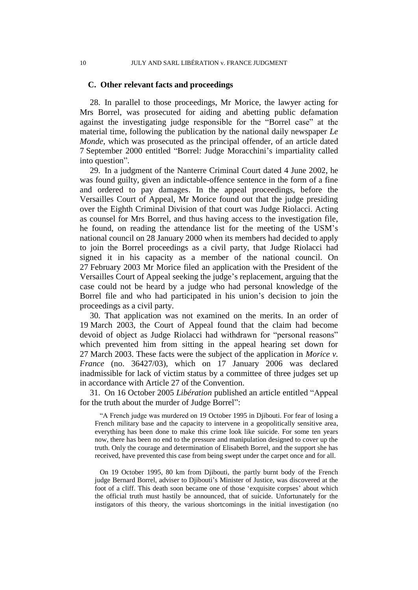### **C. Other relevant facts and proceedings**

28. In parallel to those proceedings, Mr Morice, the lawyer acting for Mrs Borrel, was prosecuted for aiding and abetting public defamation against the investigating judge responsible for the "Borrel case" at the material time, following the publication by the national daily newspaper *Le Monde*, which was prosecuted as the principal offender, of an article dated 7 September 2000 entitled "Borrel: Judge Moracchini's impartiality called into question".

29. In a judgment of the Nanterre Criminal Court dated 4 June 2002, he was found guilty, given an indictable-offence sentence in the form of a fine and ordered to pay damages. In the appeal proceedings, before the Versailles Court of Appeal, Mr Morice found out that the judge presiding over the Eighth Criminal Division of that court was Judge Riolacci. Acting as counsel for Mrs Borrel, and thus having access to the investigation file, he found, on reading the attendance list for the meeting of the USM's national council on 28 January 2000 when its members had decided to apply to join the Borrel proceedings as a civil party, that Judge Riolacci had signed it in his capacity as a member of the national council. On 27 February 2003 Mr Morice filed an application with the President of the Versailles Court of Appeal seeking the judge's replacement, arguing that the case could not be heard by a judge who had personal knowledge of the Borrel file and who had participated in his union's decision to join the proceedings as a civil party.

30. That application was not examined on the merits. In an order of 19 March 2003, the Court of Appeal found that the claim had become devoid of object as Judge Riolacci had withdrawn for "personal reasons" which prevented him from sitting in the appeal hearing set down for 27 March 2003. These facts were the subject of the application in *Morice v. France* (no. 36427/03), which on 17 January 2006 was declared inadmissible for lack of victim status by a committee of three judges set up in accordance with Article 27 of the Convention.

31. On 16 October 2005 *Libération* published an article entitled "Appeal for the truth about the murder of Judge Borrel":

"A French judge was murdered on 19 October 1995 in Djibouti. For fear of losing a French military base and the capacity to intervene in a geopolitically sensitive area, everything has been done to make this crime look like suicide. For some ten years now, there has been no end to the pressure and manipulation designed to cover up the truth. Only the courage and determination of Elisabeth Borrel, and the support she has received, have prevented this case from being swept under the carpet once and for all.

On 19 October 1995, 80 km from Djibouti, the partly burnt body of the French judge Bernard Borrel, adviser to Djibouti's Minister of Justice, was discovered at the foot of a cliff. This death soon became one of those 'exquisite corpses' about which the official truth must hastily be announced, that of suicide. Unfortunately for the instigators of this theory, the various shortcomings in the initial investigation (no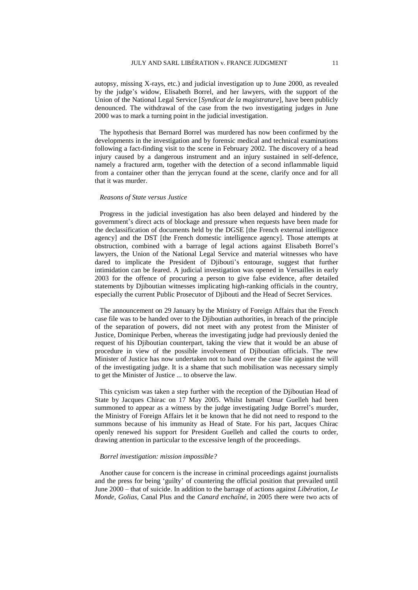autopsy, missing X-rays, etc.) and judicial investigation up to June 2000, as revealed by the judge's widow, Elisabeth Borrel, and her lawyers, with the support of the Union of the National Legal Service [*Syndicat de la magistrature*], have been publicly denounced. The withdrawal of the case from the two investigating judges in June 2000 was to mark a turning point in the judicial investigation.

The hypothesis that Bernard Borrel was murdered has now been confirmed by the developments in the investigation and by forensic medical and technical examinations following a fact-finding visit to the scene in February 2002. The discovery of a head injury caused by a dangerous instrument and an injury sustained in self-defence, namely a fractured arm, together with the detection of a second inflammable liquid from a container other than the jerrycan found at the scene, clarify once and for all that it was murder.

#### *Reasons of State versus Justice*

Progress in the judicial investigation has also been delayed and hindered by the government's direct acts of blockage and pressure when requests have been made for the declassification of documents held by the DGSE [the French external intelligence agency] and the DST [the French domestic intelligence agency]. Those attempts at obstruction, combined with a barrage of legal actions against Elisabeth Borrel's lawyers, the Union of the National Legal Service and material witnesses who have dared to implicate the President of Djibouti's entourage, suggest that further intimidation can be feared. A judicial investigation was opened in Versailles in early 2003 for the offence of procuring a person to give false evidence, after detailed statements by Djiboutian witnesses implicating high-ranking officials in the country, especially the current Public Prosecutor of Djibouti and the Head of Secret Services.

The announcement on 29 January by the Ministry of Foreign Affairs that the French case file was to be handed over to the Djiboutian authorities, in breach of the principle of the separation of powers, did not meet with any protest from the Minister of Justice, Dominique Perben, whereas the investigating judge had previously denied the request of his Djiboutian counterpart, taking the view that it would be an abuse of procedure in view of the possible involvement of Djiboutian officials. The new Minister of Justice has now undertaken not to hand over the case file against the will of the investigating judge. It is a shame that such mobilisation was necessary simply to get the Minister of Justice ... to observe the law.

This cynicism was taken a step further with the reception of the Djiboutian Head of State by Jacques Chirac on 17 May 2005. Whilst Ismaël Omar Guelleh had been summoned to appear as a witness by the judge investigating Judge Borrel's murder, the Ministry of Foreign Affairs let it be known that he did not need to respond to the summons because of his immunity as Head of State. For his part, Jacques Chirac openly renewed his support for President Guelleh and called the courts to order, drawing attention in particular to the excessive length of the proceedings.

### *Borrel investigation: mission impossible?*

Another cause for concern is the increase in criminal proceedings against journalists and the press for being 'guilty' of countering the official position that prevailed until June 2000 – that of suicide. In addition to the barrage of actions against *Libération*, *Le Monde*, *Golias*, Canal Plus and the *Canard enchaîné*, in 2005 there were two acts of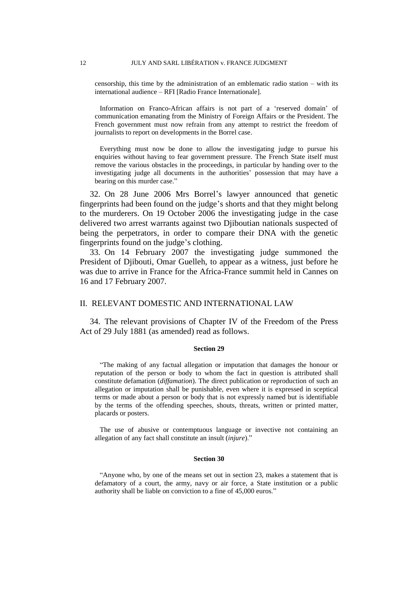censorship, this time by the administration of an emblematic radio station – with its international audience – RFI [Radio France Internationale].

Information on Franco-African affairs is not part of a 'reserved domain' of communication emanating from the Ministry of Foreign Affairs or the President. The French government must now refrain from any attempt to restrict the freedom of journalists to report on developments in the Borrel case.

Everything must now be done to allow the investigating judge to pursue his enquiries without having to fear government pressure. The French State itself must remove the various obstacles in the proceedings, in particular by handing over to the investigating judge all documents in the authorities' possession that may have a bearing on this murder case."

32. On 28 June 2006 Mrs Borrel's lawyer announced that genetic fingerprints had been found on the judge's shorts and that they might belong to the murderers. On 19 October 2006 the investigating judge in the case delivered two arrest warrants against two Djiboutian nationals suspected of being the perpetrators, in order to compare their DNA with the genetic fingerprints found on the judge's clothing.

33. On 14 February 2007 the investigating judge summoned the President of Djibouti, Omar Guelleh, to appear as a witness, just before he was due to arrive in France for the Africa-France summit held in Cannes on 16 and 17 February 2007.

### II. RELEVANT DOMESTIC AND INTERNATIONAL LAW

34. The relevant provisions of Chapter IV of the Freedom of the Press Act of 29 July 1881 (as amended) read as follows.

#### **Section 29**

"The making of any factual allegation or imputation that damages the honour or reputation of the person or body to whom the fact in question is attributed shall constitute defamation (*diffamation*). The direct publication or reproduction of such an allegation or imputation shall be punishable, even where it is expressed in sceptical terms or made about a person or body that is not expressly named but is identifiable by the terms of the offending speeches, shouts, threats, written or printed matter, placards or posters.

The use of abusive or contemptuous language or invective not containing an allegation of any fact shall constitute an insult (*injure*)."

#### **Section 30**

"Anyone who, by one of the means set out in section 23, makes a statement that is defamatory of a court, the army, navy or air force, a State institution or a public authority shall be liable on conviction to a fine of 45,000 euros."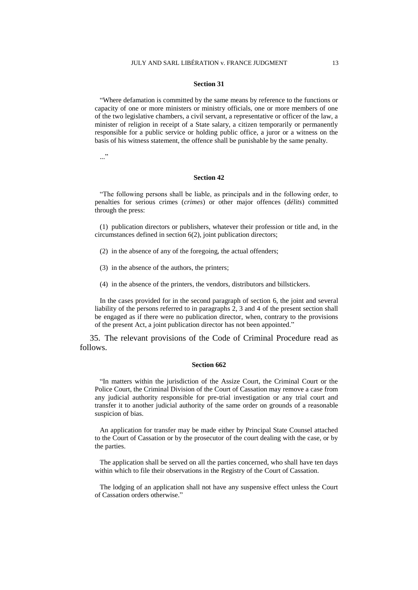#### **Section 31**

"Where defamation is committed by the same means by reference to the functions or capacity of one or more ministers or ministry officials, one or more members of one of the two legislative chambers, a civil servant, a representative or officer of the law, a minister of religion in receipt of a State salary, a citizen temporarily or permanently responsible for a public service or holding public office, a juror or a witness on the basis of his witness statement, the offence shall be punishable by the same penalty.

..."

#### **Section 42**

"The following persons shall be liable, as principals and in the following order, to penalties for serious crimes (*crimes*) or other major offences (*délits*) committed through the press:

(1) publication directors or publishers, whatever their profession or title and, in the circumstances defined in section 6(2), joint publication directors;

- (2) in the absence of any of the foregoing, the actual offenders;
- (3) in the absence of the authors, the printers;
- (4) in the absence of the printers, the vendors, distributors and billstickers.

In the cases provided for in the second paragraph of section 6, the joint and several liability of the persons referred to in paragraphs 2, 3 and 4 of the present section shall be engaged as if there were no publication director, when, contrary to the provisions of the present Act, a joint publication director has not been appointed."

35. The relevant provisions of the Code of Criminal Procedure read as follows.

#### **Section 662**

"In matters within the jurisdiction of the Assize Court, the Criminal Court or the Police Court, the Criminal Division of the Court of Cassation may remove a case from any judicial authority responsible for pre-trial investigation or any trial court and transfer it to another judicial authority of the same order on grounds of a reasonable suspicion of bias.

An application for transfer may be made either by Principal State Counsel attached to the Court of Cassation or by the prosecutor of the court dealing with the case, or by the parties.

The application shall be served on all the parties concerned, who shall have ten days within which to file their observations in the Registry of the Court of Cassation.

The lodging of an application shall not have any suspensive effect unless the Court of Cassation orders otherwise."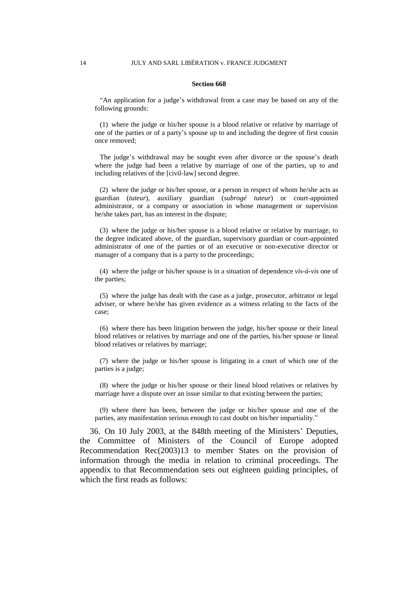### **Section 668**

"An application for a judge's withdrawal from a case may be based on any of the following grounds:

(1) where the judge or his/her spouse is a blood relative or relative by marriage of one of the parties or of a party's spouse up to and including the degree of first cousin once removed;

The judge's withdrawal may be sought even after divorce or the spouse's death where the judge had been a relative by marriage of one of the parties, up to and including relatives of the [civil-law] second degree.

(2) where the judge or his/her spouse, or a person in respect of whom he/she acts as guardian (*tuteur*), auxiliary guardian (*subrogé tuteur*) or court-appointed administrator, or a company or association in whose management or supervision he/she takes part, has an interest in the dispute;

(3) where the judge or his/her spouse is a blood relative or relative by marriage, to the degree indicated above, of the guardian, supervisory guardian or court-appointed administrator of one of the parties or of an executive or non-executive director or manager of a company that is a party to the proceedings;

(4) where the judge or his/her spouse is in a situation of dependence *vis-à-vis* one of the parties;

(5) where the judge has dealt with the case as a judge, prosecutor, arbitrator or legal adviser, or where he/she has given evidence as a witness relating to the facts of the case;

(6) where there has been litigation between the judge, his/her spouse or their lineal blood relatives or relatives by marriage and one of the parties, his/her spouse or lineal blood relatives or relatives by marriage;

(7) where the judge or his/her spouse is litigating in a court of which one of the parties is a judge;

(8) where the judge or his/her spouse or their lineal blood relatives or relatives by marriage have a dispute over an issue similar to that existing between the parties;

(9) where there has been, between the judge or his/her spouse and one of the parties, any manifestation serious enough to cast doubt on his/her impartiality."

36. On 10 July 2003, at the 848th meeting of the Ministers' Deputies, the Committee of Ministers of the Council of Europe adopted Recommendation Rec(2003)13 to member States on the provision of information through the media in relation to criminal proceedings. The appendix to that Recommendation sets out eighteen guiding principles, of which the first reads as follows: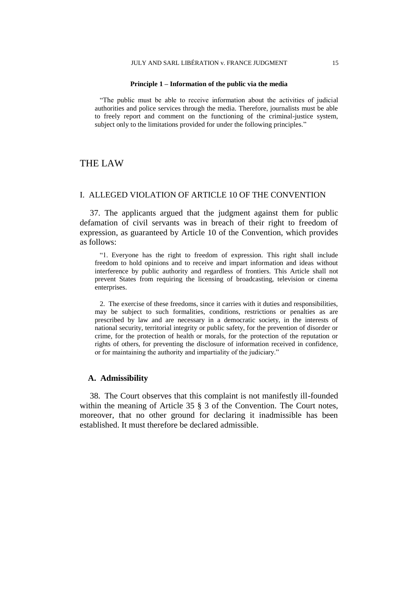#### **Principle 1 – Information of the public via the media**

"The public must be able to receive information about the activities of judicial authorities and police services through the media. Therefore, journalists must be able to freely report and comment on the functioning of the criminal-justice system, subject only to the limitations provided for under the following principles."

### THE LAW

### I. ALLEGED VIOLATION OF ARTICLE 10 OF THE CONVENTION

37. The applicants argued that the judgment against them for public defamation of civil servants was in breach of their right to freedom of expression, as guaranteed by Article 10 of the Convention, which provides as follows:

"1. Everyone has the right to freedom of expression. This right shall include freedom to hold opinions and to receive and impart information and ideas without interference by public authority and regardless of frontiers. This Article shall not prevent States from requiring the licensing of broadcasting, television or cinema enterprises.

2. The exercise of these freedoms, since it carries with it duties and responsibilities, may be subject to such formalities, conditions, restrictions or penalties as are prescribed by law and are necessary in a democratic society, in the interests of national security, territorial integrity or public safety, for the prevention of disorder or crime, for the protection of health or morals, for the protection of the reputation or rights of others, for preventing the disclosure of information received in confidence, or for maintaining the authority and impartiality of the judiciary."

### **A. Admissibility**

38. The Court observes that this complaint is not manifestly ill-founded within the meaning of Article 35  $\S$  3 of the Convention. The Court notes, moreover, that no other ground for declaring it inadmissible has been established. It must therefore be declared admissible.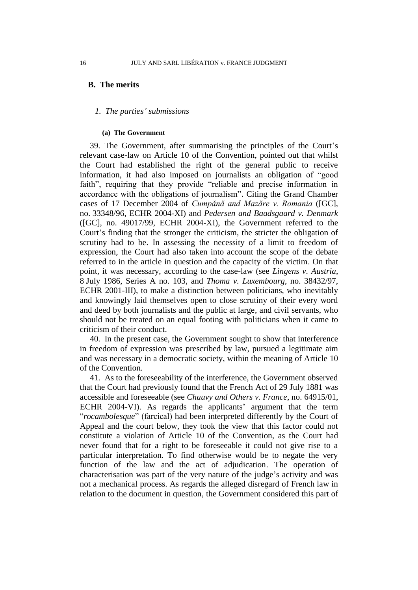### **B. The merits**

### *1. The parties' submissions*

### **(a) The Government**

39. The Government, after summarising the principles of the Court's relevant case-law on Article 10 of the Convention, pointed out that whilst the Court had established the right of the general public to receive information, it had also imposed on journalists an obligation of "good faith", requiring that they provide "reliable and precise information in accordance with the obligations of journalism". Citing the Grand Chamber cases of 17 December 2004 of *Cumpǎnǎ and Mazǎre v. Romania* ([GC], no. 33348/96, ECHR 2004-XI) and *Pedersen and Baadsgaard v. Denmark* ([GC], no. 49017/99, ECHR 2004-XI), the Government referred to the Court's finding that the stronger the criticism, the stricter the obligation of scrutiny had to be. In assessing the necessity of a limit to freedom of expression, the Court had also taken into account the scope of the debate referred to in the article in question and the capacity of the victim. On that point, it was necessary, according to the case-law (see *Lingens v. Austria*, 8 July 1986, Series A no. 103, and *Thoma v. Luxembourg*, no. 38432/97, ECHR 2001-III), to make a distinction between politicians, who inevitably and knowingly laid themselves open to close scrutiny of their every word and deed by both journalists and the public at large, and civil servants, who should not be treated on an equal footing with politicians when it came to criticism of their conduct.

40. In the present case, the Government sought to show that interference in freedom of expression was prescribed by law, pursued a legitimate aim and was necessary in a democratic society, within the meaning of Article 10 of the Convention.

41. As to the foreseeability of the interference, the Government observed that the Court had previously found that the French Act of 29 July 1881 was accessible and foreseeable (see *Chauvy and Others v. France*, no. 64915/01, ECHR 2004-VI). As regards the applicants' argument that the term "*rocambolesque*" (farcical) had been interpreted differently by the Court of Appeal and the court below, they took the view that this factor could not constitute a violation of Article 10 of the Convention, as the Court had never found that for a right to be foreseeable it could not give rise to a particular interpretation. To find otherwise would be to negate the very function of the law and the act of adjudication. The operation of characterisation was part of the very nature of the judge's activity and was not a mechanical process. As regards the alleged disregard of French law in relation to the document in question, the Government considered this part of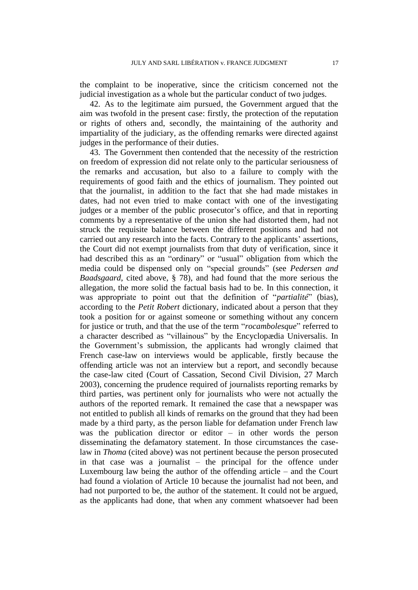the complaint to be inoperative, since the criticism concerned not the judicial investigation as a whole but the particular conduct of two judges.

42. As to the legitimate aim pursued, the Government argued that the aim was twofold in the present case: firstly, the protection of the reputation or rights of others and, secondly, the maintaining of the authority and impartiality of the judiciary, as the offending remarks were directed against judges in the performance of their duties.

43. The Government then contended that the necessity of the restriction on freedom of expression did not relate only to the particular seriousness of the remarks and accusation, but also to a failure to comply with the requirements of good faith and the ethics of journalism. They pointed out that the journalist, in addition to the fact that she had made mistakes in dates, had not even tried to make contact with one of the investigating judges or a member of the public prosecutor's office, and that in reporting comments by a representative of the union she had distorted them, had not struck the requisite balance between the different positions and had not carried out any research into the facts. Contrary to the applicants' assertions, the Court did not exempt journalists from that duty of verification, since it had described this as an "ordinary" or "usual" obligation from which the media could be dispensed only on "special grounds" (see *Pedersen and Baadsgaard*, cited above, § 78), and had found that the more serious the allegation, the more solid the factual basis had to be. In this connection, it was appropriate to point out that the definition of "*partialité*" (bias), according to the *Petit Robert* dictionary, indicated about a person that they took a position for or against someone or something without any concern for justice or truth, and that the use of the term "*rocambolesque*" referred to a character described as "villainous" by the Encyclopædia Universalis. In the Government's submission, the applicants had wrongly claimed that French case-law on interviews would be applicable, firstly because the offending article was not an interview but a report, and secondly because the case-law cited (Court of Cassation, Second Civil Division, 27 March 2003), concerning the prudence required of journalists reporting remarks by third parties, was pertinent only for journalists who were not actually the authors of the reported remark. It remained the case that a newspaper was not entitled to publish all kinds of remarks on the ground that they had been made by a third party, as the person liable for defamation under French law was the publication director or editor – in other words the person disseminating the defamatory statement. In those circumstances the caselaw in *Thoma* (cited above) was not pertinent because the person prosecuted in that case was a journalist – the principal for the offence under Luxembourg law being the author of the offending article – and the Court had found a violation of Article 10 because the journalist had not been, and had not purported to be, the author of the statement. It could not be argued, as the applicants had done, that when any comment whatsoever had been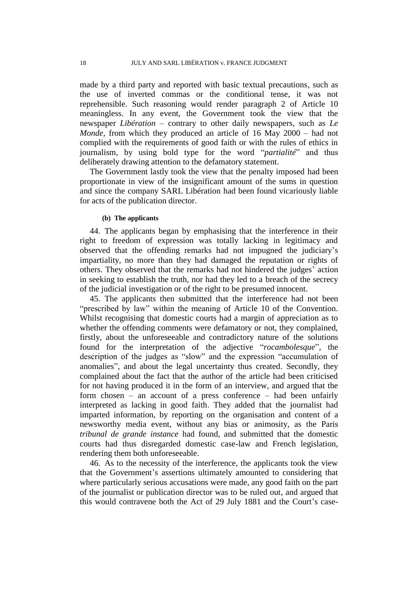made by a third party and reported with basic textual precautions, such as the use of inverted commas or the conditional tense, it was not reprehensible. Such reasoning would render paragraph 2 of Article 10 meaningless. In any event, the Government took the view that the newspaper *Libération* – contrary to other daily newspapers, such as *Le Monde*, from which they produced an article of 16 May 2000 – had not complied with the requirements of good faith or with the rules of ethics in journalism, by using bold type for the word "*partialité*" and thus deliberately drawing attention to the defamatory statement.

The Government lastly took the view that the penalty imposed had been proportionate in view of the insignificant amount of the sums in question and since the company SARL Libération had been found vicariously liable for acts of the publication director.

### **(b) The applicants**

44. The applicants began by emphasising that the interference in their right to freedom of expression was totally lacking in legitimacy and observed that the offending remarks had not impugned the judiciary's impartiality, no more than they had damaged the reputation or rights of others. They observed that the remarks had not hindered the judges' action in seeking to establish the truth, nor had they led to a breach of the secrecy of the judicial investigation or of the right to be presumed innocent.

45. The applicants then submitted that the interference had not been "prescribed by law" within the meaning of Article 10 of the Convention. Whilst recognising that domestic courts had a margin of appreciation as to whether the offending comments were defamatory or not, they complained, firstly, about the unforeseeable and contradictory nature of the solutions found for the interpretation of the adjective "*rocambolesque*", the description of the judges as "slow" and the expression "accumulation of anomalies", and about the legal uncertainty thus created. Secondly, they complained about the fact that the author of the article had been criticised for not having produced it in the form of an interview, and argued that the form chosen – an account of a press conference – had been unfairly interpreted as lacking in good faith. They added that the journalist had imparted information, by reporting on the organisation and content of a newsworthy media event, without any bias or animosity, as the Paris *tribunal de grande instance* had found, and submitted that the domestic courts had thus disregarded domestic case-law and French legislation, rendering them both unforeseeable.

46. As to the necessity of the interference, the applicants took the view that the Government's assertions ultimately amounted to considering that where particularly serious accusations were made, any good faith on the part of the journalist or publication director was to be ruled out, and argued that this would contravene both the Act of 29 July 1881 and the Court's case-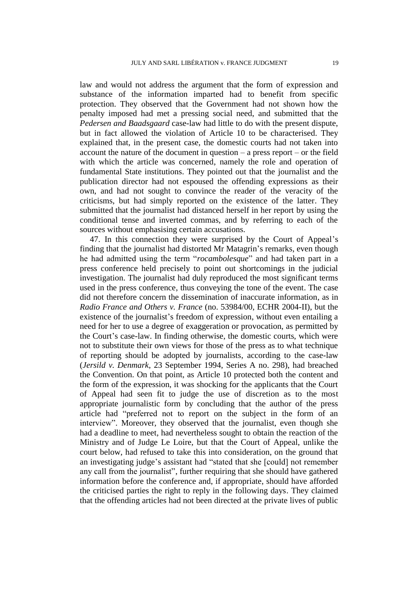law and would not address the argument that the form of expression and substance of the information imparted had to benefit from specific protection. They observed that the Government had not shown how the penalty imposed had met a pressing social need, and submitted that the *Pedersen and Baadsgaard* case-law had little to do with the present dispute, but in fact allowed the violation of Article 10 to be characterised. They explained that, in the present case, the domestic courts had not taken into account the nature of the document in question – a press report – or the field with which the article was concerned, namely the role and operation of fundamental State institutions. They pointed out that the journalist and the publication director had not espoused the offending expressions as their own, and had not sought to convince the reader of the veracity of the criticisms, but had simply reported on the existence of the latter. They submitted that the journalist had distanced herself in her report by using the conditional tense and inverted commas, and by referring to each of the sources without emphasising certain accusations.

47. In this connection they were surprised by the Court of Appeal's finding that the journalist had distorted Mr Matagrin's remarks, even though he had admitted using the term "*rocambolesque*" and had taken part in a press conference held precisely to point out shortcomings in the judicial investigation. The journalist had duly reproduced the most significant terms used in the press conference, thus conveying the tone of the event. The case did not therefore concern the dissemination of inaccurate information, as in *Radio France and Others v. France* (no. 53984/00, ECHR 2004-II), but the existence of the journalist's freedom of expression, without even entailing a need for her to use a degree of exaggeration or provocation, as permitted by the Court's case-law. In finding otherwise, the domestic courts, which were not to substitute their own views for those of the press as to what technique of reporting should be adopted by journalists, according to the case-law (*Jersild v. Denmark*, 23 September 1994, Series A no. 298), had breached the Convention. On that point, as Article 10 protected both the content and the form of the expression, it was shocking for the applicants that the Court of Appeal had seen fit to judge the use of discretion as to the most appropriate journalistic form by concluding that the author of the press article had "preferred not to report on the subject in the form of an interview". Moreover, they observed that the journalist, even though she had a deadline to meet, had nevertheless sought to obtain the reaction of the Ministry and of Judge Le Loire, but that the Court of Appeal, unlike the court below, had refused to take this into consideration, on the ground that an investigating judge's assistant had "stated that she [could] not remember any call from the journalist", further requiring that she should have gathered information before the conference and, if appropriate, should have afforded the criticised parties the right to reply in the following days. They claimed that the offending articles had not been directed at the private lives of public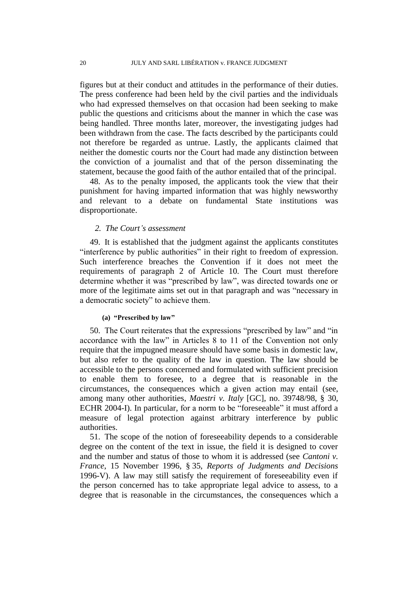figures but at their conduct and attitudes in the performance of their duties. The press conference had been held by the civil parties and the individuals who had expressed themselves on that occasion had been seeking to make public the questions and criticisms about the manner in which the case was being handled. Three months later, moreover, the investigating judges had been withdrawn from the case. The facts described by the participants could not therefore be regarded as untrue. Lastly, the applicants claimed that neither the domestic courts nor the Court had made any distinction between the conviction of a journalist and that of the person disseminating the statement, because the good faith of the author entailed that of the principal.

48. As to the penalty imposed, the applicants took the view that their punishment for having imparted information that was highly newsworthy and relevant to a debate on fundamental State institutions was disproportionate.

### *2. The Court's assessment*

49. It is established that the judgment against the applicants constitutes "interference by public authorities" in their right to freedom of expression. Such interference breaches the Convention if it does not meet the requirements of paragraph 2 of Article 10. The Court must therefore determine whether it was "prescribed by law", was directed towards one or more of the legitimate aims set out in that paragraph and was "necessary in a democratic society" to achieve them.

### **(a) "Prescribed by law"**

50. The Court reiterates that the expressions "prescribed by law" and "in accordance with the law" in Articles 8 to 11 of the Convention not only require that the impugned measure should have some basis in domestic law, but also refer to the quality of the law in question. The law should be accessible to the persons concerned and formulated with sufficient precision to enable them to foresee, to a degree that is reasonable in the circumstances, the consequences which a given action may entail (see, among many other authorities, *Maestri v. Italy* [GC], no. 39748/98, § 30, ECHR 2004-I). In particular, for a norm to be "foreseeable" it must afford a measure of legal protection against arbitrary interference by public authorities.

51. The scope of the notion of foreseeability depends to a considerable degree on the content of the text in issue, the field it is designed to cover and the number and status of those to whom it is addressed (see *Cantoni v. France*, 15 November 1996, § 35, *Reports of Judgments and Decisions* 1996-V). A law may still satisfy the requirement of foreseeability even if the person concerned has to take appropriate legal advice to assess, to a degree that is reasonable in the circumstances, the consequences which a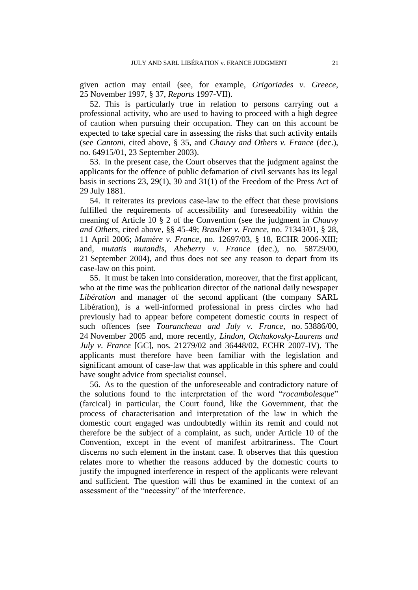given action may entail (see, for example, *Grigoriades v. Greece*, 25 November 1997, § 37, *Reports* 1997-VII).

52. This is particularly true in relation to persons carrying out a professional activity, who are used to having to proceed with a high degree of caution when pursuing their occupation. They can on this account be expected to take special care in assessing the risks that such activity entails (see *Cantoni*, cited above, § 35, and *Chauvy and Others v. France* (dec.), no. 64915/01, 23 September 2003).

53. In the present case, the Court observes that the judgment against the applicants for the offence of public defamation of civil servants has its legal basis in sections 23, 29(1), 30 and 31(1) of the Freedom of the Press Act of 29 July 1881.

54. It reiterates its previous case-law to the effect that these provisions fulfilled the requirements of accessibility and foreseeability within the meaning of Article 10 § 2 of the Convention (see the judgment in *Chauvy and Others*, cited above, §§ 45-49; *Brasilier v. France*, no. 71343/01, § 28, 11 April 2006; *Mamère v. France*, no. 12697/03, § 18, ECHR 2006-XIII; and, *mutatis mutandis*, *Abeberry v. France* (dec.), no. 58729/00, 21 September 2004), and thus does not see any reason to depart from its case-law on this point.

55. It must be taken into consideration, moreover, that the first applicant, who at the time was the publication director of the national daily newspaper *Libération* and manager of the second applicant (the company SARL Libération), is a well-informed professional in press circles who had previously had to appear before competent domestic courts in respect of such offences (see *Tourancheau and July v. France*, no. 53886/00, 24 November 2005 and, more recently, *Lindon, Otchakovsky-Laurens and July v. France* [GC], nos. 21279/02 and 36448/02, ECHR 2007-IV). The applicants must therefore have been familiar with the legislation and significant amount of case-law that was applicable in this sphere and could have sought advice from specialist counsel.

56. As to the question of the unforeseeable and contradictory nature of the solutions found to the interpretation of the word "*rocambolesque*" (farcical) in particular, the Court found, like the Government, that the process of characterisation and interpretation of the law in which the domestic court engaged was undoubtedly within its remit and could not therefore be the subject of a complaint, as such, under Article 10 of the Convention, except in the event of manifest arbitrariness. The Court discerns no such element in the instant case. It observes that this question relates more to whether the reasons adduced by the domestic courts to justify the impugned interference in respect of the applicants were relevant and sufficient. The question will thus be examined in the context of an assessment of the "necessity" of the interference.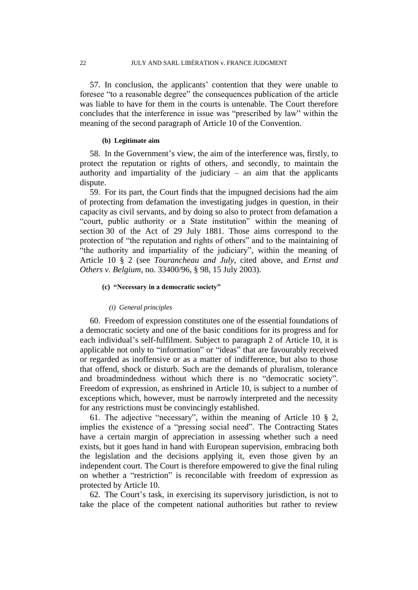57. In conclusion, the applicants' contention that they were unable to foresee "to a reasonable degree" the consequences publication of the article was liable to have for them in the courts is untenable. The Court therefore concludes that the interference in issue was "prescribed by law" within the meaning of the second paragraph of Article 10 of the Convention.

### **(b) Legitimate aim**

58. In the Government's view, the aim of the interference was, firstly, to protect the reputation or rights of others, and secondly, to maintain the authority and impartiality of the judiciary – an aim that the applicants dispute.

59. For its part, the Court finds that the impugned decisions had the aim of protecting from defamation the investigating judges in question, in their capacity as civil servants, and by doing so also to protect from defamation a "court, public authority or a State institution" within the meaning of section 30 of the Act of 29 July 1881. Those aims correspond to the protection of "the reputation and rights of others" and to the maintaining of "the authority and impartiality of the judiciary", within the meaning of Article 10 § 2 (see *Tourancheau and July*, cited above, and *Ernst and Others v. Belgium*, no. 33400/96, § 98, 15 July 2003).

### **(c) "Necessary in a democratic society"**

#### *(i) General principles*

60. Freedom of expression constitutes one of the essential foundations of a democratic society and one of the basic conditions for its progress and for each individual's self-fulfilment. Subject to paragraph 2 of Article 10, it is applicable not only to "information" or "ideas" that are favourably received or regarded as inoffensive or as a matter of indifference, but also to those that offend, shock or disturb. Such are the demands of pluralism, tolerance and broadmindedness without which there is no "democratic society". Freedom of expression, as enshrined in Article 10, is subject to a number of exceptions which, however, must be narrowly interpreted and the necessity for any restrictions must be convincingly established.

61. The adjective "necessary", within the meaning of Article 10 § 2, implies the existence of a "pressing social need". The Contracting States have a certain margin of appreciation in assessing whether such a need exists, but it goes hand in hand with European supervision, embracing both the legislation and the decisions applying it, even those given by an independent court. The Court is therefore empowered to give the final ruling on whether a "restriction" is reconcilable with freedom of expression as protected by Article 10.

62. The Court's task, in exercising its supervisory jurisdiction, is not to take the place of the competent national authorities but rather to review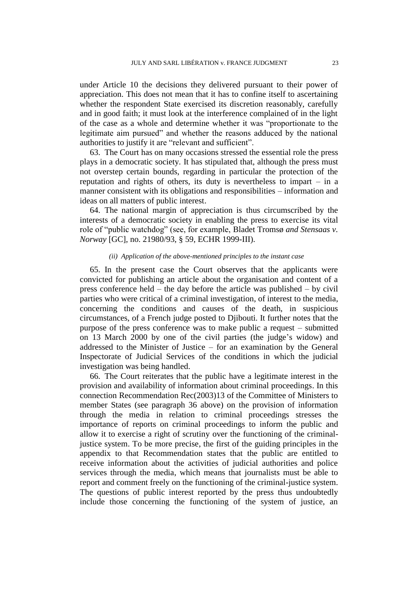under Article 10 the decisions they delivered pursuant to their power of appreciation. This does not mean that it has to confine itself to ascertaining whether the respondent State exercised its discretion reasonably, carefully and in good faith; it must look at the interference complained of in the light of the case as a whole and determine whether it was "proportionate to the legitimate aim pursued" and whether the reasons adduced by the national authorities to justify it are "relevant and sufficient".

63. The Court has on many occasions stressed the essential role the press plays in a democratic society. It has stipulated that, although the press must not overstep certain bounds, regarding in particular the protection of the reputation and rights of others, its duty is nevertheless to impart – in a manner consistent with its obligations and responsibilities – information and ideas on all matters of public interest.

64. The national margin of appreciation is thus circumscribed by the interests of a democratic society in enabling the press to exercise its vital role of "public watchdog" (see, for example, Bladet Tromsø *and Stensaas v. Norway* [GC], no. 21980/93, § 59, ECHR 1999-III).

### *(ii) Application of the above-mentioned principles to the instant case*

65. In the present case the Court observes that the applicants were convicted for publishing an article about the organisation and content of a press conference held – the day before the article was published – by civil parties who were critical of a criminal investigation, of interest to the media, concerning the conditions and causes of the death, in suspicious circumstances, of a French judge posted to Djibouti. It further notes that the purpose of the press conference was to make public a request – submitted on 13 March 2000 by one of the civil parties (the judge's widow) and addressed to the Minister of Justice – for an examination by the General Inspectorate of Judicial Services of the conditions in which the judicial investigation was being handled.

66. The Court reiterates that the public have a legitimate interest in the provision and availability of information about criminal proceedings. In this connection Recommendation Rec(2003)13 of the Committee of Ministers to member States (see paragraph 36 above) on the provision of information through the media in relation to criminal proceedings stresses the importance of reports on criminal proceedings to inform the public and allow it to exercise a right of scrutiny over the functioning of the criminaljustice system. To be more precise, the first of the guiding principles in the appendix to that Recommendation states that the public are entitled to receive information about the activities of judicial authorities and police services through the media, which means that journalists must be able to report and comment freely on the functioning of the criminal-justice system. The questions of public interest reported by the press thus undoubtedly include those concerning the functioning of the system of justice, an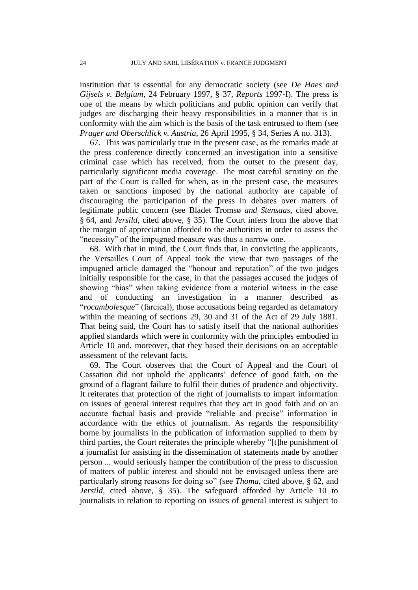institution that is essential for any democratic society (see *De Haes and Gijsels v. Belgium*, 24 February 1997, § 37, *Reports* 1997-I). The press is one of the means by which politicians and public opinion can verify that judges are discharging their heavy responsibilities in a manner that is in conformity with the aim which is the basis of the task entrusted to them (see *Prager and Oberschlick v. Austria*, 26 April 1995, § 34, Series A no. 313).

67. This was particularly true in the present case, as the remarks made at the press conference directly concerned an investigation into a sensitive criminal case which has received, from the outset to the present day, particularly significant media coverage. The most careful scrutiny on the part of the Court is called for when, as in the present case, the measures taken or sanctions imposed by the national authority are capable of discouraging the participation of the press in debates over matters of legitimate public concern (see Bladet Tromsø *and Stensaas*, cited above, § 64, and *Jersild*, cited above, § 35). The Court infers from the above that the margin of appreciation afforded to the authorities in order to assess the "necessity" of the impugned measure was thus a narrow one.

68. With that in mind, the Court finds that, in convicting the applicants, the Versailles Court of Appeal took the view that two passages of the impugned article damaged the "honour and reputation" of the two judges initially responsible for the case, in that the passages accused the judges of showing "bias" when taking evidence from a material witness in the case and of conducting an investigation in a manner described as "*rocambolesque*" (farcical), those accusations being regarded as defamatory within the meaning of sections 29, 30 and 31 of the Act of 29 July 1881. That being said, the Court has to satisfy itself that the national authorities applied standards which were in conformity with the principles embodied in Article 10 and, moreover, that they based their decisions on an acceptable assessment of the relevant facts.

69. The Court observes that the Court of Appeal and the Court of Cassation did not uphold the applicants' defence of good faith, on the ground of a flagrant failure to fulfil their duties of prudence and objectivity. It reiterates that protection of the right of journalists to impart information on issues of general interest requires that they act in good faith and on an accurate factual basis and provide "reliable and precise" information in accordance with the ethics of journalism. As regards the responsibility borne by journalists in the publication of information supplied to them by third parties, the Court reiterates the principle whereby "[t]he punishment of a journalist for assisting in the dissemination of statements made by another person ... would seriously hamper the contribution of the press to discussion of matters of public interest and should not be envisaged unless there are particularly strong reasons for doing so" (see *Thoma*, cited above, § 62, and *Jersild*, cited above, § 35). The safeguard afforded by Article 10 to journalists in relation to reporting on issues of general interest is subject to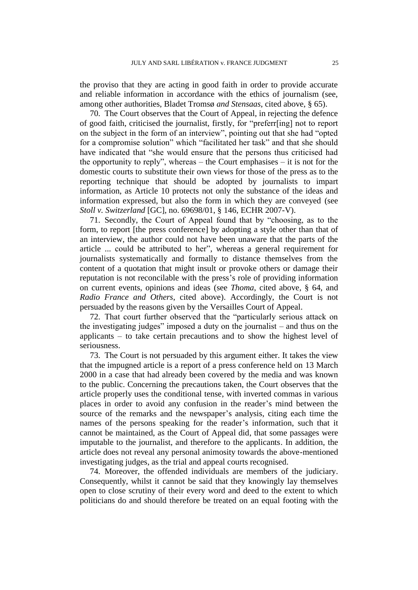the proviso that they are acting in good faith in order to provide accurate and reliable information in accordance with the ethics of journalism (see, among other authorities, Bladet Tromsø *and Stensaas*, cited above, § 65).

70. The Court observes that the Court of Appeal, in rejecting the defence of good faith, criticised the journalist, firstly, for "preferr[ing] not to report on the subject in the form of an interview", pointing out that she had "opted for a compromise solution" which "facilitated her task" and that she should have indicated that "she would ensure that the persons thus criticised had the opportunity to reply", whereas – the Court emphasises – it is not for the domestic courts to substitute their own views for those of the press as to the reporting technique that should be adopted by journalists to impart information, as Article 10 protects not only the substance of the ideas and information expressed, but also the form in which they are conveyed (see *Stoll v. Switzerland* [GC], no. 69698/01, § 146, ECHR 2007-V).

71. Secondly, the Court of Appeal found that by "choosing, as to the form, to report [the press conference] by adopting a style other than that of an interview, the author could not have been unaware that the parts of the article ... could be attributed to her", whereas a general requirement for journalists systematically and formally to distance themselves from the content of a quotation that might insult or provoke others or damage their reputation is not reconcilable with the press's role of providing information on current events, opinions and ideas (see *Thoma*, cited above, § 64, and *Radio France and Others*, cited above). Accordingly, the Court is not persuaded by the reasons given by the Versailles Court of Appeal.

72. That court further observed that the "particularly serious attack on the investigating judges" imposed a duty on the journalist – and thus on the applicants – to take certain precautions and to show the highest level of seriousness.

73. The Court is not persuaded by this argument either. It takes the view that the impugned article is a report of a press conference held on 13 March 2000 in a case that had already been covered by the media and was known to the public. Concerning the precautions taken, the Court observes that the article properly uses the conditional tense, with inverted commas in various places in order to avoid any confusion in the reader's mind between the source of the remarks and the newspaper's analysis, citing each time the names of the persons speaking for the reader's information, such that it cannot be maintained, as the Court of Appeal did, that some passages were imputable to the journalist, and therefore to the applicants. In addition, the article does not reveal any personal animosity towards the above-mentioned investigating judges, as the trial and appeal courts recognised.

74. Moreover, the offended individuals are members of the judiciary. Consequently, whilst it cannot be said that they knowingly lay themselves open to close scrutiny of their every word and deed to the extent to which politicians do and should therefore be treated on an equal footing with the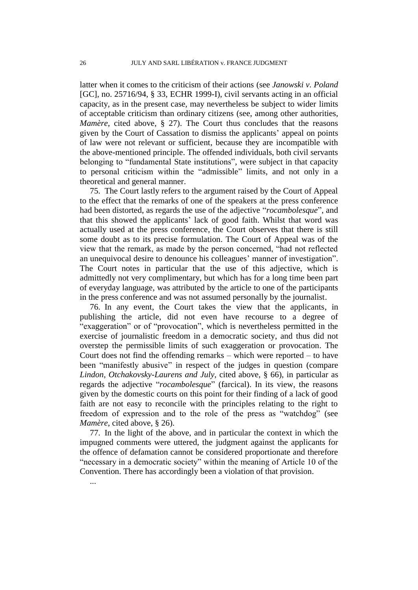latter when it comes to the criticism of their actions (see *Janowski v. Poland* [GC], no. 25716/94, § 33, ECHR 1999-I), civil servants acting in an official capacity, as in the present case, may nevertheless be subject to wider limits of acceptable criticism than ordinary citizens (see, among other authorities, *Mamère*, cited above, § 27). The Court thus concludes that the reasons given by the Court of Cassation to dismiss the applicants' appeal on points of law were not relevant or sufficient, because they are incompatible with the above-mentioned principle. The offended individuals, both civil servants belonging to "fundamental State institutions", were subject in that capacity to personal criticism within the "admissible" limits, and not only in a theoretical and general manner.

75. The Court lastly refers to the argument raised by the Court of Appeal to the effect that the remarks of one of the speakers at the press conference had been distorted, as regards the use of the adjective "*rocambolesque*", and that this showed the applicants' lack of good faith. Whilst that word was actually used at the press conference, the Court observes that there is still some doubt as to its precise formulation. The Court of Appeal was of the view that the remark, as made by the person concerned, "had not reflected an unequivocal desire to denounce his colleagues' manner of investigation". The Court notes in particular that the use of this adjective, which is admittedly not very complimentary, but which has for a long time been part of everyday language, was attributed by the article to one of the participants in the press conference and was not assumed personally by the journalist.

76. In any event, the Court takes the view that the applicants, in publishing the article, did not even have recourse to a degree of "exaggeration" or of "provocation", which is nevertheless permitted in the exercise of journalistic freedom in a democratic society, and thus did not overstep the permissible limits of such exaggeration or provocation. The Court does not find the offending remarks – which were reported – to have been "manifestly abusive" in respect of the judges in question (compare *Lindon, Otchakovsky-Laurens and July*, cited above, § 66), in particular as regards the adjective "*rocambolesque*" (farcical). In its view, the reasons given by the domestic courts on this point for their finding of a lack of good faith are not easy to reconcile with the principles relating to the right to freedom of expression and to the role of the press as "watchdog" (see *Mamère*, cited above, § 26).

77. In the light of the above, and in particular the context in which the impugned comments were uttered, the judgment against the applicants for the offence of defamation cannot be considered proportionate and therefore "necessary in a democratic society" within the meaning of Article 10 of the Convention. There has accordingly been a violation of that provision.

...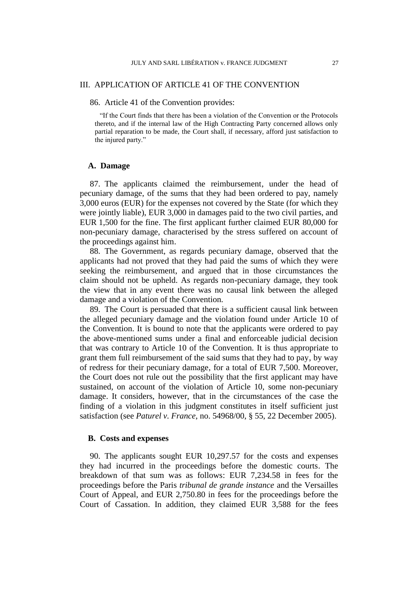### III. APPLICATION OF ARTICLE 41 OF THE CONVENTION

86. Article 41 of the Convention provides:

"If the Court finds that there has been a violation of the Convention or the Protocols thereto, and if the internal law of the High Contracting Party concerned allows only partial reparation to be made, the Court shall, if necessary, afford just satisfaction to the injured party."

### **A. Damage**

87. The applicants claimed the reimbursement, under the head of pecuniary damage, of the sums that they had been ordered to pay, namely 3,000 euros (EUR) for the expenses not covered by the State (for which they were jointly liable), EUR 3,000 in damages paid to the two civil parties, and EUR 1,500 for the fine. The first applicant further claimed EUR 80,000 for non-pecuniary damage, characterised by the stress suffered on account of the proceedings against him.

88. The Government, as regards pecuniary damage, observed that the applicants had not proved that they had paid the sums of which they were seeking the reimbursement, and argued that in those circumstances the claim should not be upheld. As regards non-pecuniary damage, they took the view that in any event there was no causal link between the alleged damage and a violation of the Convention.

89. The Court is persuaded that there is a sufficient causal link between the alleged pecuniary damage and the violation found under Article 10 of the Convention. It is bound to note that the applicants were ordered to pay the above-mentioned sums under a final and enforceable judicial decision that was contrary to Article 10 of the Convention. It is thus appropriate to grant them full reimbursement of the said sums that they had to pay, by way of redress for their pecuniary damage, for a total of EUR 7,500. Moreover, the Court does not rule out the possibility that the first applicant may have sustained, on account of the violation of Article 10, some non-pecuniary damage. It considers, however, that in the circumstances of the case the finding of a violation in this judgment constitutes in itself sufficient just satisfaction (see *Paturel v. France*, no. 54968/00, § 55, 22 December 2005).

### **B. Costs and expenses**

90. The applicants sought EUR 10,297.57 for the costs and expenses they had incurred in the proceedings before the domestic courts. The breakdown of that sum was as follows: EUR 7,234.58 in fees for the proceedings before the Paris *tribunal de grande instance* and the Versailles Court of Appeal, and EUR 2,750.80 in fees for the proceedings before the Court of Cassation. In addition, they claimed EUR 3,588 for the fees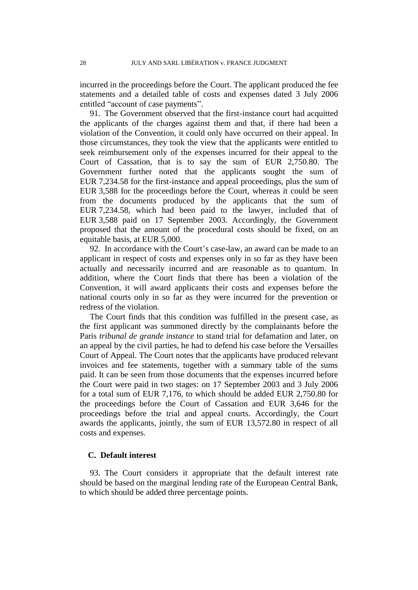incurred in the proceedings before the Court. The applicant produced the fee statements and a detailed table of costs and expenses dated 3 July 2006 entitled "account of case payments".

91. The Government observed that the first-instance court had acquitted the applicants of the charges against them and that, if there had been a violation of the Convention, it could only have occurred on their appeal. In those circumstances, they took the view that the applicants were entitled to seek reimbursement only of the expenses incurred for their appeal to the Court of Cassation, that is to say the sum of EUR 2,750.80. The Government further noted that the applicants sought the sum of EUR 7,234.58 for the first-instance and appeal proceedings, plus the sum of EUR 3,588 for the proceedings before the Court, whereas it could be seen from the documents produced by the applicants that the sum of EUR 7,234.58, which had been paid to the lawyer, included that of EUR 3,588 paid on 17 September 2003. Accordingly, the Government proposed that the amount of the procedural costs should be fixed, on an equitable basis, at EUR 5,000.

92. In accordance with the Court's case-law, an award can be made to an applicant in respect of costs and expenses only in so far as they have been actually and necessarily incurred and are reasonable as to quantum. In addition, where the Court finds that there has been a violation of the Convention, it will award applicants their costs and expenses before the national courts only in so far as they were incurred for the prevention or redress of the violation.

The Court finds that this condition was fulfilled in the present case, as the first applicant was summoned directly by the complainants before the Paris *tribunal de grande instance* to stand trial for defamation and later, on an appeal by the civil parties, he had to defend his case before the Versailles Court of Appeal. The Court notes that the applicants have produced relevant invoices and fee statements, together with a summary table of the sums paid. It can be seen from those documents that the expenses incurred before the Court were paid in two stages: on 17 September 2003 and 3 July 2006 for a total sum of EUR 7,176, to which should be added EUR 2,750.80 for the proceedings before the Court of Cassation and EUR 3,646 for the proceedings before the trial and appeal courts. Accordingly, the Court awards the applicants, jointly, the sum of EUR 13,572.80 in respect of all costs and expenses.

### **C. Default interest**

93. The Court considers it appropriate that the default interest rate should be based on the marginal lending rate of the European Central Bank, to which should be added three percentage points.